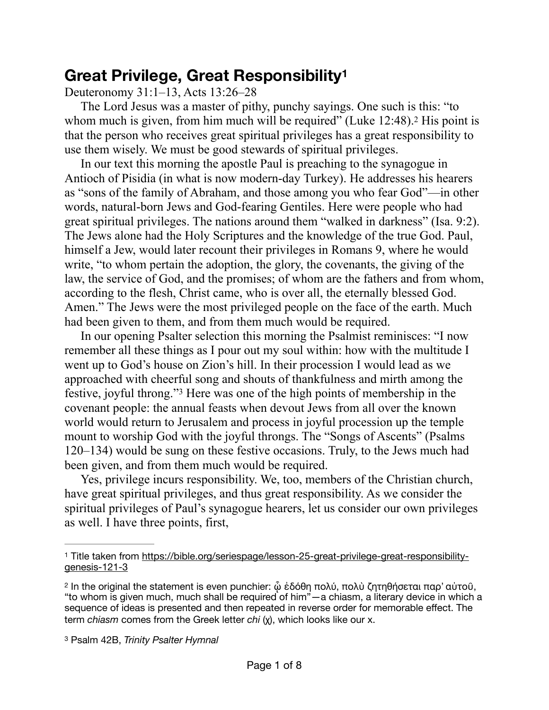## <span id="page-0-3"></span>**Great Privilege, Great Responsibilit[y1](#page-0-0)**

Deuteronomy 31:1–13, Acts 13:26–28

<span id="page-0-4"></span>The Lord Jesus was a master of pithy, punchy sayings. One such is this: "to whommuch is given, from him much will be required" (Luke  $12:48$  $12:48$  $12:48$ ).<sup>2</sup> His point is that the person who receives great spiritual privileges has a great responsibility to use them wisely. We must be good stewards of spiritual privileges.

In our text this morning the apostle Paul is preaching to the synagogue in Antioch of Pisidia (in what is now modern-day Turkey). He addresses his hearers as "sons of the family of Abraham, and those among you who fear God"—in other words, natural-born Jews and God-fearing Gentiles. Here were people who had great spiritual privileges. The nations around them "walked in darkness" (Isa. 9:2). The Jews alone had the Holy Scriptures and the knowledge of the true God. Paul, himself a Jew, would later recount their privileges in Romans 9, where he would write, "to whom pertain the adoption, the glory, the covenants, the giving of the law, the service of God, and the promises; of whom are the fathers and from whom, according to the flesh, Christ came, who is over all, the eternally blessed God. Amen." The Jews were the most privileged people on the face of the earth. Much had been given to them, and from them much would be required.

<span id="page-0-5"></span>In our opening Psalter selection this morning the Psalmist reminisces: "I now remember all these things as I pour out my soul within: how with the multitude I went up to God's house on Zion's hill. In their procession I would lead as we approached with cheerful song and shouts of thankfulness and mirth among the festive, joyful throng."<sup>[3](#page-0-2)</sup> Here was one of the high points of membership in the covenant people: the annual feasts when devout Jews from all over the known world would return to Jerusalem and process in joyful procession up the temple mount to worship God with the joyful throngs. The "Songs of Ascents" (Psalms 120–134) would be sung on these festive occasions. Truly, to the Jews much had been given, and from them much would be required.

Yes, privilege incurs responsibility. We, too, members of the Christian church, have great spiritual privileges, and thus great responsibility. As we consider the spiritual privileges of Paul's synagogue hearers, let us consider our own privileges as well. I have three points, first,

<span id="page-0-2"></span>Psalm 42B, *Trinity Psalter Hymnal* [3](#page-0-5)

<span id="page-0-0"></span>Title taken from [https://bible.org/seriespage/lesson-25-great-privilege-great-responsibility-](https://bible.org/seriespage/lesson-25-great-privilege-great-responsibility-genesis-121-3) [1](#page-0-3) [genesis-121-3](https://bible.org/seriespage/lesson-25-great-privilege-great-responsibility-genesis-121-3)

<span id="page-0-1"></span><sup>&</sup>lt;sup>[2](#page-0-4)</sup> In the original the statement is even punchier: ὦ ἐδόθη πολύ, πολὺ ζητηθήσεται παρ' αὐτοῦ, "to whom is given much, much shall be required of him"—a chiasm, a literary device in which a sequence of ideas is presented and then repeated in reverse order for memorable effect. The term *chiasm* comes from the Greek letter *chi* (χ), which looks like our x.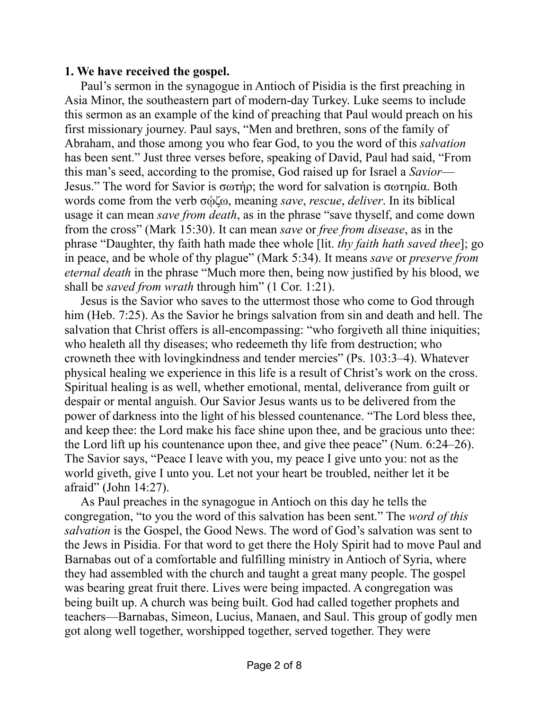## **1. We have received the gospel.**

Paul's sermon in the synagogue in Antioch of Pisidia is the first preaching in Asia Minor, the southeastern part of modern-day Turkey. Luke seems to include this sermon as an example of the kind of preaching that Paul would preach on his first missionary journey. Paul says, "Men and brethren, sons of the family of Abraham, and those among you who fear God, to you the word of this *salvation* has been sent." Just three verses before, speaking of David, Paul had said, "From this man's seed, according to the promise, God raised up for Israel a *Savior*— Jesus." The word for Savior is σωτήρ; the word for salvation is σωτηρία. Both words come from the verb σῴζω, meaning *save*, *rescue*, *deliver*. In its biblical usage it can mean *save from death*, as in the phrase "save thyself, and come down from the cross" (Mark 15:30). It can mean *save* or *free from disease*, as in the phrase "Daughter, thy faith hath made thee whole [lit. *thy faith hath saved thee*]; go in peace, and be whole of thy plague" (Mark 5:34). It means *save* or *preserve from eternal death* in the phrase "Much more then, being now justified by his blood, we shall be *saved from wrath* through him" (1 Cor. 1:21).

Jesus is the Savior who saves to the uttermost those who come to God through him (Heb. 7:25). As the Savior he brings salvation from sin and death and hell. The salvation that Christ offers is all-encompassing: "who forgiveth all thine iniquities; who healeth all thy diseases; who redeemeth thy life from destruction; who crowneth thee with lovingkindness and tender mercies" (Ps. 103:3–4). Whatever physical healing we experience in this life is a result of Christ's work on the cross. Spiritual healing is as well, whether emotional, mental, deliverance from guilt or despair or mental anguish. Our Savior Jesus wants us to be delivered from the power of darkness into the light of his blessed countenance. "The Lord bless thee, and keep thee: the Lord make his face shine upon thee, and be gracious unto thee: the Lord lift up his countenance upon thee, and give thee peace" (Num. 6:24–26). The Savior says, "Peace I leave with you, my peace I give unto you: not as the world giveth, give I unto you. Let not your heart be troubled, neither let it be afraid" (John 14:27).

As Paul preaches in the synagogue in Antioch on this day he tells the congregation, "to you the word of this salvation has been sent." The *word of this salvation* is the Gospel, the Good News. The word of God's salvation was sent to the Jews in Pisidia. For that word to get there the Holy Spirit had to move Paul and Barnabas out of a comfortable and fulfilling ministry in Antioch of Syria, where they had assembled with the church and taught a great many people. The gospel was bearing great fruit there. Lives were being impacted. A congregation was being built up. A church was being built. God had called together prophets and teachers—Barnabas, Simeon, Lucius, Manaen, and Saul. This group of godly men got along well together, worshipped together, served together. They were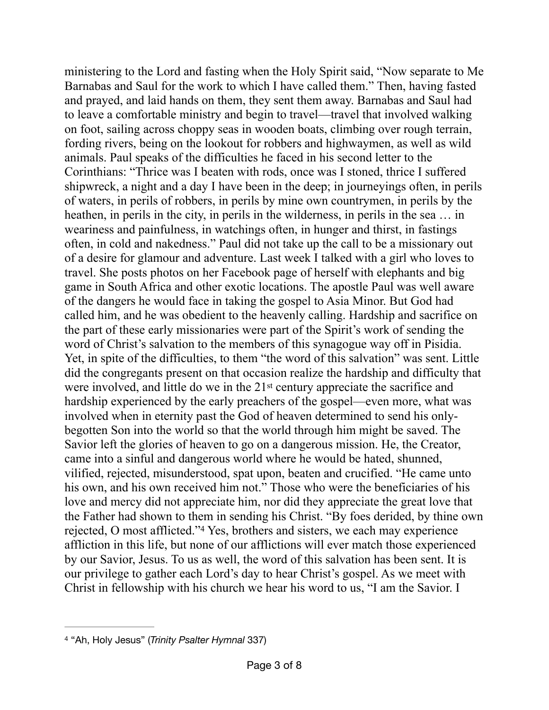ministering to the Lord and fasting when the Holy Spirit said, "Now separate to Me Barnabas and Saul for the work to which I have called them." Then, having fasted and prayed, and laid hands on them, they sent them away. Barnabas and Saul had to leave a comfortable ministry and begin to travel—travel that involved walking on foot, sailing across choppy seas in wooden boats, climbing over rough terrain, fording rivers, being on the lookout for robbers and highwaymen, as well as wild animals. Paul speaks of the difficulties he faced in his second letter to the Corinthians: "Thrice was I beaten with rods, once was I stoned, thrice I suffered shipwreck, a night and a day I have been in the deep; in journeyings often, in perils of waters, in perils of robbers, in perils by mine own countrymen, in perils by the heathen, in perils in the city, in perils in the wilderness, in perils in the sea … in weariness and painfulness, in watchings often, in hunger and thirst, in fastings often, in cold and nakedness." Paul did not take up the call to be a missionary out of a desire for glamour and adventure. Last week I talked with a girl who loves to travel. She posts photos on her Facebook page of herself with elephants and big game in South Africa and other exotic locations. The apostle Paul was well aware of the dangers he would face in taking the gospel to Asia Minor. But God had called him, and he was obedient to the heavenly calling. Hardship and sacrifice on the part of these early missionaries were part of the Spirit's work of sending the word of Christ's salvation to the members of this synagogue way off in Pisidia. Yet, in spite of the difficulties, to them "the word of this salvation" was sent. Little did the congregants present on that occasion realize the hardship and difficulty that were involved, and little do we in the 21st century appreciate the sacrifice and hardship experienced by the early preachers of the gospel—even more, what was involved when in eternity past the God of heaven determined to send his onlybegotten Son into the world so that the world through him might be saved. The Savior left the glories of heaven to go on a dangerous mission. He, the Creator, came into a sinful and dangerous world where he would be hated, shunned, vilified, rejected, misunderstood, spat upon, beaten and crucified. "He came unto his own, and his own received him not." Those who were the beneficiaries of his love and mercy did not appreciate him, nor did they appreciate the great love that the Father had shown to them in sending his Christ. "By foes derided, by thine own rejected, O most afflicted."<sup>[4](#page-2-0)</sup> Yes, brothers and sisters, we each may experience affliction in this life, but none of our afflictions will ever match those experienced by our Savior, Jesus. To us as well, the word of this salvation has been sent. It is our privilege to gather each Lord's day to hear Christ's gospel. As we meet with Christ in fellowship with his church we hear his word to us, "I am the Savior. I

<span id="page-2-1"></span><span id="page-2-0"></span><sup>&</sup>lt;sup>[4](#page-2-1)</sup> "Ah, Holy Jesus" (*Trinity Psalter Hymnal* 337)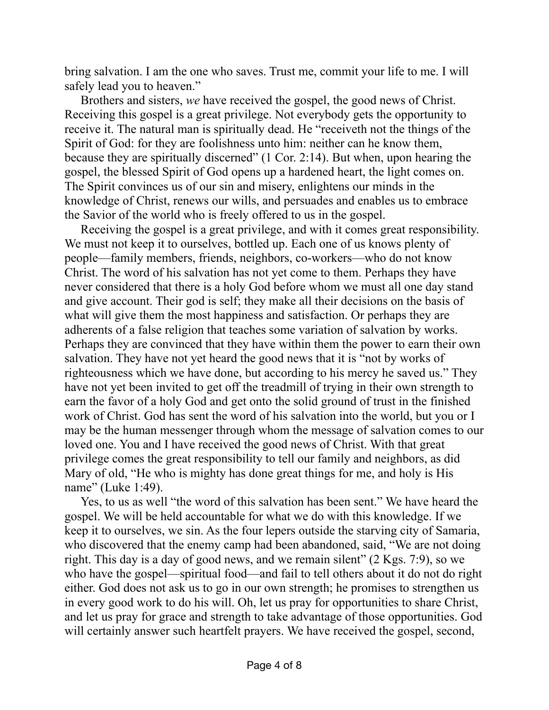bring salvation. I am the one who saves. Trust me, commit your life to me. I will safely lead you to heaven."

Brothers and sisters, *we* have received the gospel, the good news of Christ. Receiving this gospel is a great privilege. Not everybody gets the opportunity to receive it. The natural man is spiritually dead. He "receiveth not the things of the Spirit of God: for they are foolishness unto him: neither can he know them, because they are spiritually discerned" (1 Cor. 2:14). But when, upon hearing the gospel, the blessed Spirit of God opens up a hardened heart, the light comes on. The Spirit convinces us of our sin and misery, enlightens our minds in the knowledge of Christ, renews our wills, and persuades and enables us to embrace the Savior of the world who is freely offered to us in the gospel.

Receiving the gospel is a great privilege, and with it comes great responsibility. We must not keep it to ourselves, bottled up. Each one of us knows plenty of people—family members, friends, neighbors, co-workers—who do not know Christ. The word of his salvation has not yet come to them. Perhaps they have never considered that there is a holy God before whom we must all one day stand and give account. Their god is self; they make all their decisions on the basis of what will give them the most happiness and satisfaction. Or perhaps they are adherents of a false religion that teaches some variation of salvation by works. Perhaps they are convinced that they have within them the power to earn their own salvation. They have not yet heard the good news that it is "not by works of righteousness which we have done, but according to his mercy he saved us." They have not yet been invited to get off the treadmill of trying in their own strength to earn the favor of a holy God and get onto the solid ground of trust in the finished work of Christ. God has sent the word of his salvation into the world, but you or I may be the human messenger through whom the message of salvation comes to our loved one. You and I have received the good news of Christ. With that great privilege comes the great responsibility to tell our family and neighbors, as did Mary of old, "He who is mighty has done great things for me, and holy is His name" (Luke 1:49).

Yes, to us as well "the word of this salvation has been sent." We have heard the gospel. We will be held accountable for what we do with this knowledge. If we keep it to ourselves, we sin. As the four lepers outside the starving city of Samaria, who discovered that the enemy camp had been abandoned, said, "We are not doing right. This day is a day of good news, and we remain silent" (2 Kgs. 7:9), so we who have the gospel—spiritual food—and fail to tell others about it do not do right either. God does not ask us to go in our own strength; he promises to strengthen us in every good work to do his will. Oh, let us pray for opportunities to share Christ, and let us pray for grace and strength to take advantage of those opportunities. God will certainly answer such heartfelt prayers. We have received the gospel, second,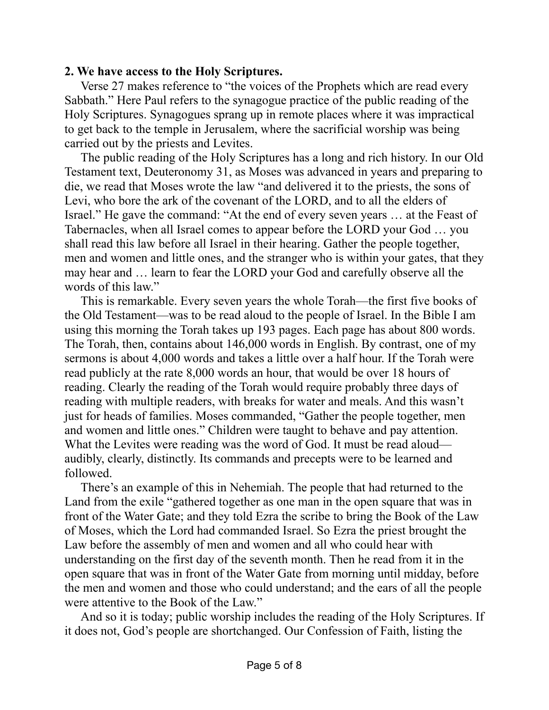## **2. We have access to the Holy Scriptures.**

Verse 27 makes reference to "the voices of the Prophets which are read every Sabbath." Here Paul refers to the synagogue practice of the public reading of the Holy Scriptures. Synagogues sprang up in remote places where it was impractical to get back to the temple in Jerusalem, where the sacrificial worship was being carried out by the priests and Levites.

The public reading of the Holy Scriptures has a long and rich history. In our Old Testament text, Deuteronomy 31, as Moses was advanced in years and preparing to die, we read that Moses wrote the law "and delivered it to the priests, the sons of Levi, who bore the ark of the covenant of the LORD, and to all the elders of Israel." He gave the command: "At the end of every seven years … at the Feast of Tabernacles, when all Israel comes to appear before the LORD your God … you shall read this law before all Israel in their hearing. Gather the people together, men and women and little ones, and the stranger who is within your gates, that they may hear and … learn to fear the LORD your God and carefully observe all the words of this law."

This is remarkable. Every seven years the whole Torah—the first five books of the Old Testament—was to be read aloud to the people of Israel. In the Bible I am using this morning the Torah takes up 193 pages. Each page has about 800 words. The Torah, then, contains about 146,000 words in English. By contrast, one of my sermons is about 4,000 words and takes a little over a half hour. If the Torah were read publicly at the rate 8,000 words an hour, that would be over 18 hours of reading. Clearly the reading of the Torah would require probably three days of reading with multiple readers, with breaks for water and meals. And this wasn't just for heads of families. Moses commanded, "Gather the people together, men and women and little ones." Children were taught to behave and pay attention. What the Levites were reading was the word of God. It must be read aloud audibly, clearly, distinctly. Its commands and precepts were to be learned and followed.

There's an example of this in Nehemiah. The people that had returned to the Land from the exile "gathered together as one man in the open square that was in front of the Water Gate; and they told Ezra the scribe to bring the Book of the Law of Moses, which the Lord had commanded Israel. So Ezra the priest brought the Law before the assembly of men and women and all who could hear with understanding on the first day of the seventh month. Then he read from it in the open square that was in front of the Water Gate from morning until midday, before the men and women and those who could understand; and the ears of all the people were attentive to the Book of the Law."

And so it is today; public worship includes the reading of the Holy Scriptures. If it does not, God's people are shortchanged. Our Confession of Faith, listing the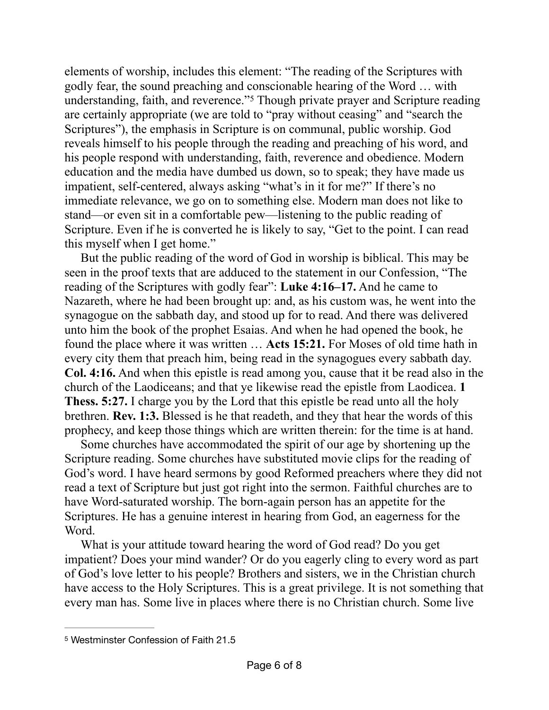<span id="page-5-1"></span>elements of worship, includes this element: "The reading of the Scriptures with godly fear, the sound preaching and conscionable hearing of the Word … with understanding, faith, and reverence."<sup>[5](#page-5-0)</sup> Though private prayer and Scripture reading are certainly appropriate (we are told to "pray without ceasing" and "search the Scriptures"), the emphasis in Scripture is on communal, public worship. God reveals himself to his people through the reading and preaching of his word, and his people respond with understanding, faith, reverence and obedience. Modern education and the media have dumbed us down, so to speak; they have made us impatient, self-centered, always asking "what's in it for me?" If there's no immediate relevance, we go on to something else. Modern man does not like to stand—or even sit in a comfortable pew—listening to the public reading of Scripture. Even if he is converted he is likely to say, "Get to the point. I can read this myself when I get home."

But the public reading of the word of God in worship is biblical. This may be seen in the proof texts that are adduced to the statement in our Confession, "The reading of the Scriptures with godly fear": **Luke 4:16–17.** And he came to Nazareth, where he had been brought up: and, as his custom was, he went into the synagogue on the sabbath day, and stood up for to read. And there was delivered unto him the book of the prophet Esaias. And when he had opened the book, he found the place where it was written … **Acts 15:21.** For Moses of old time hath in every city them that preach him, being read in the synagogues every sabbath day. **Col. 4:16.** And when this epistle is read among you, cause that it be read also in the church of the Laodiceans; and that ye likewise read the epistle from Laodicea. **1 Thess. 5:27.** I charge you by the Lord that this epistle be read unto all the holy brethren. **Rev. 1:3.** Blessed is he that readeth, and they that hear the words of this prophecy, and keep those things which are written therein: for the time is at hand.

Some churches have accommodated the spirit of our age by shortening up the Scripture reading. Some churches have substituted movie clips for the reading of God's word. I have heard sermons by good Reformed preachers where they did not read a text of Scripture but just got right into the sermon. Faithful churches are to have Word-saturated worship. The born-again person has an appetite for the Scriptures. He has a genuine interest in hearing from God, an eagerness for the Word.

What is your attitude toward hearing the word of God read? Do you get impatient? Does your mind wander? Or do you eagerly cling to every word as part of God's love letter to his people? Brothers and sisters, we in the Christian church have access to the Holy Scriptures. This is a great privilege. It is not something that every man has. Some live in places where there is no Christian church. Some live

<span id="page-5-0"></span>[<sup>5</sup>](#page-5-1) Westminster Confession of Faith 21.5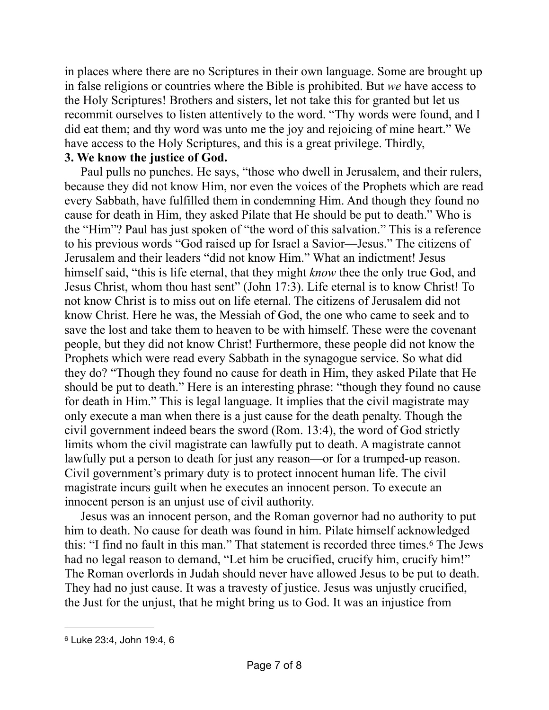in places where there are no Scriptures in their own language. Some are brought up in false religions or countries where the Bible is prohibited. But *we* have access to the Holy Scriptures! Brothers and sisters, let not take this for granted but let us recommit ourselves to listen attentively to the word. "Thy words were found, and I did eat them; and thy word was unto me the joy and rejoicing of mine heart." We have access to the Holy Scriptures, and this is a great privilege. Thirdly,

## **3. We know the justice of God.**

Paul pulls no punches. He says, "those who dwell in Jerusalem, and their rulers, because they did not know Him, nor even the voices of the Prophets which are read every Sabbath, have fulfilled them in condemning Him. And though they found no cause for death in Him, they asked Pilate that He should be put to death." Who is the "Him"? Paul has just spoken of "the word of this salvation." This is a reference to his previous words "God raised up for Israel a Savior—Jesus." The citizens of Jerusalem and their leaders "did not know Him." What an indictment! Jesus himself said, "this is life eternal, that they might *know* thee the only true God, and Jesus Christ, whom thou hast sent" (John 17:3). Life eternal is to know Christ! To not know Christ is to miss out on life eternal. The citizens of Jerusalem did not know Christ. Here he was, the Messiah of God, the one who came to seek and to save the lost and take them to heaven to be with himself. These were the covenant people, but they did not know Christ! Furthermore, these people did not know the Prophets which were read every Sabbath in the synagogue service. So what did they do? "Though they found no cause for death in Him, they asked Pilate that He should be put to death." Here is an interesting phrase: "though they found no cause for death in Him." This is legal language. It implies that the civil magistrate may only execute a man when there is a just cause for the death penalty. Though the civil government indeed bears the sword (Rom. 13:4), the word of God strictly limits whom the civil magistrate can lawfully put to death. A magistrate cannot lawfully put a person to death for just any reason—or for a trumped-up reason. Civil government's primary duty is to protect innocent human life. The civil magistrate incurs guilt when he executes an innocent person. To execute an innocent person is an unjust use of civil authority.

<span id="page-6-1"></span>Jesus was an innocent person, and the Roman governor had no authority to put him to death. No cause for death was found in him. Pilate himself acknowledged this: "I find no fault in this man." That statement is recorded three times.<sup>[6](#page-6-0)</sup> The Jews had no legal reason to demand, "Let him be crucified, crucify him, crucify him!" The Roman overlords in Judah should never have allowed Jesus to be put to death. They had no just cause. It was a travesty of justice. Jesus was unjustly crucified, the Just for the unjust, that he might bring us to God. It was an injustice from

<span id="page-6-0"></span>[<sup>6</sup>](#page-6-1) Luke 23:4, John 19:4, 6